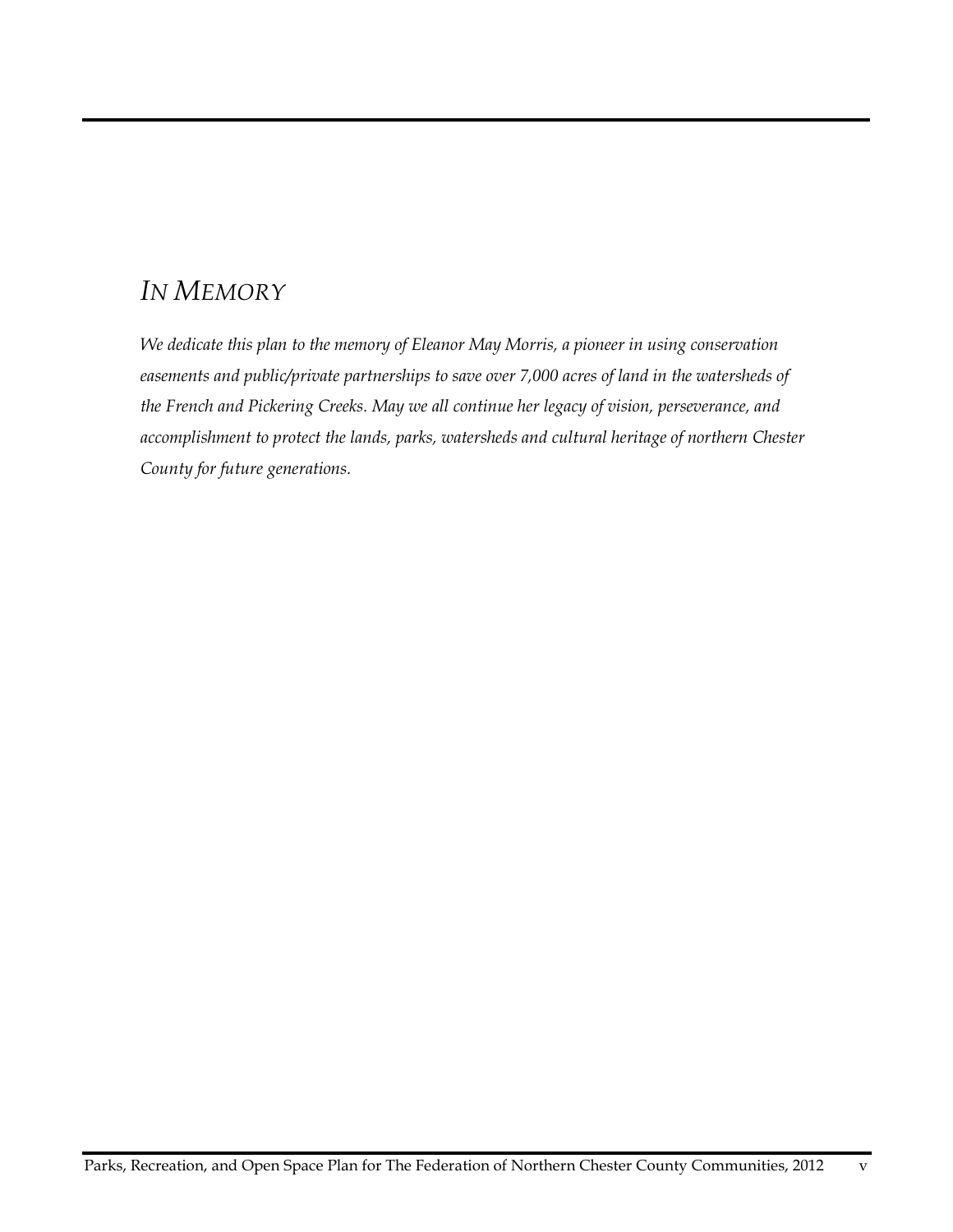## *IN MEMORY*

*We dedicate this plan to the memory of Eleanor May Morris, a pioneer in using conservation easements and public/private partnerships to save over 7,000 acres of land in the watersheds of the French and Pickering Creeks. May we all continue her legacy of vision, perseverance, and accomplishment to protect the lands, parks, watersheds and cultural heritage of northern Chester County for future generations.*